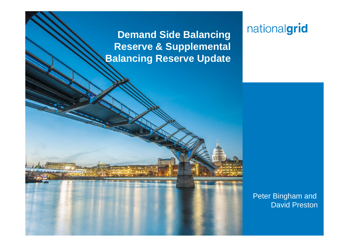**Demand Side Balancing Reserve & Supplemental Balancing Reserve Update**

**Place your chosen image here. The four** 

# nationalgrid

Peter Bingham and David Preston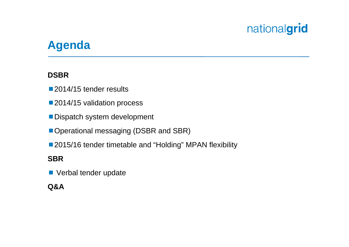## **Agenda**

#### **DSBR**

■ 2014/15 tender results

- 2014/15 validation process
- Dispatch system development
- Operational messaging (DSBR and SBR)
- 2015/16 tender timetable and "Holding" MPAN flexibility

#### **SBR**

**No** Verbal tender update

#### **Q&A**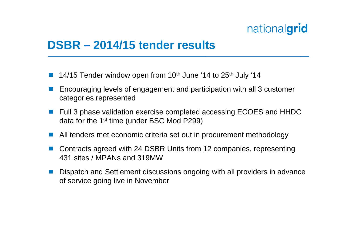#### **DSBR – 2014/15 tender results**

- $\Box$ 14/15 Tender window open from  $10<sup>th</sup>$  June '14 to  $25<sup>th</sup>$  July '14
- $\mathbb{R}^2$  Encouraging levels of engagement and participation with all 3 customer categories represented
- $\mathcal{L}_{\mathcal{A}}$  Full 3 phase validation exercise completed accessing ECOES and HHDC data for the 1st time (under BSC Mod P299)
- $\mathcal{L}_{\mathcal{A}}$ All tenders met economic criteria set out in procurement methodology
- Contracts agreed with 24 DSBR Units from 12 companies, representing 431 sites / MPANs and 319MW
- k. Dispatch and Settlement discussions ongoing with all providers in advance of service going live in November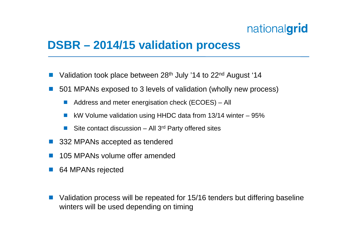## **DSBR – 2014/15 validation process**

- $\Box$ Validation took place between 28<sup>th</sup> July '14 to 22<sup>nd</sup> August '14
- $\mathbb{R}^2$  501 MPANs exposed to 3 levels of validation (wholly new process)
	- $\mathbb{R}^n$ Address and meter energisation check (ECOES) – All
	- $\overline{\mathbb{R}}$ kW Volume validation using HHDC data from 13/14 winter – 95%
	- $\overline{\mathbb{R}}$ Site contact discussion  $-$  All 3<sup>rd</sup> Party offered sites
- $\mathcal{L}^{\text{max}}$ 332 MPANs accepted as tendered
- $\Box$ 105 MPANs volume offer amended
- $\mathbb{R}^2$ 64 MPANs rejected
- Validation process will be repeated for 15/16 tenders but differing baseline winters will be used depending on timing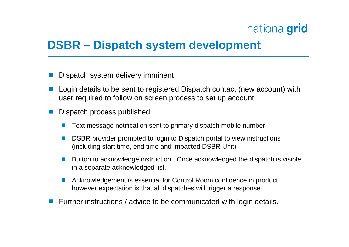## **DSBR – Dispatch system development**

- $\Box$ Dispatch system delivery imminent
- $\mathbb{R}^2$  Login details to be sent to registered Dispatch contact (new account) with user required to follow on screen process to set up account
- $\Box$  Dispatch process published
	- $\overline{\mathbb{R}}$ Text message notification sent to primary dispatch mobile number
	- $\mathcal{C}^{\mathcal{A}}$  DSBR provider prompted to login to Dispatch portal to view instructions (including start time, end time and impacted DSBR Unit)
	- $\mathbb{R}^3$  Button to acknowledge instruction. Once acknowledged the dispatch is visible in a separate acknowledged list.
	- $\mathbb{R}^3$  Acknowledgement is essential for Control Room confidence in product, however expectation is that all dispatches will trigger a response
- **Further instructions / advice to be communicated with login details.**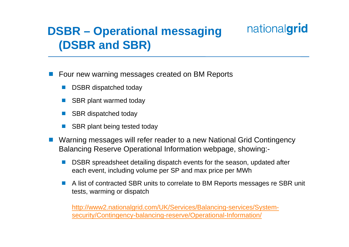# **DSBR – Operational messaging (DSBR and SBR)**

 $\Box$ Four new warning messages created on BM Reports

- **DSBR** dispatched today
- SBR plant warmed today
- $\overline{\mathbb{R}}$ SBR dispatched today
- p. SBR plant being tested today
- $\Box$  Warning messages will refer reader to a new National Grid Contingency Balancing Reserve Operational Information webpage, showing:-
	- $\overline{\mathbb{R}}$  DSBR spreadsheet detailing dispatch events for the season, updated after each event, including volume per SP and max price per MWh
	- $\overline{\mathbb{R}}$  A list of contracted SBR units to correlate to BM Reports messages re SBR unit tests, warming or dispatch

nationalgrid

http://www2.nationalgrid.com/UK/Services/Balancing-services/Systemsecurity/Contingency-balancing-reserve/Operational-Information/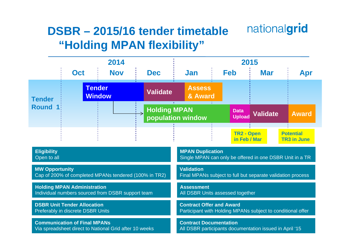#### nationalgrid **DSBR – 2015/16 tender timetable"Holding MPAN flexibility"**

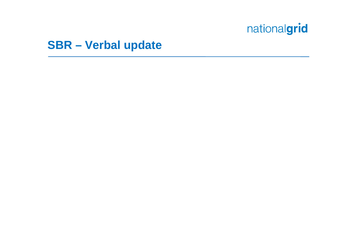## **SBR – Verbal update**